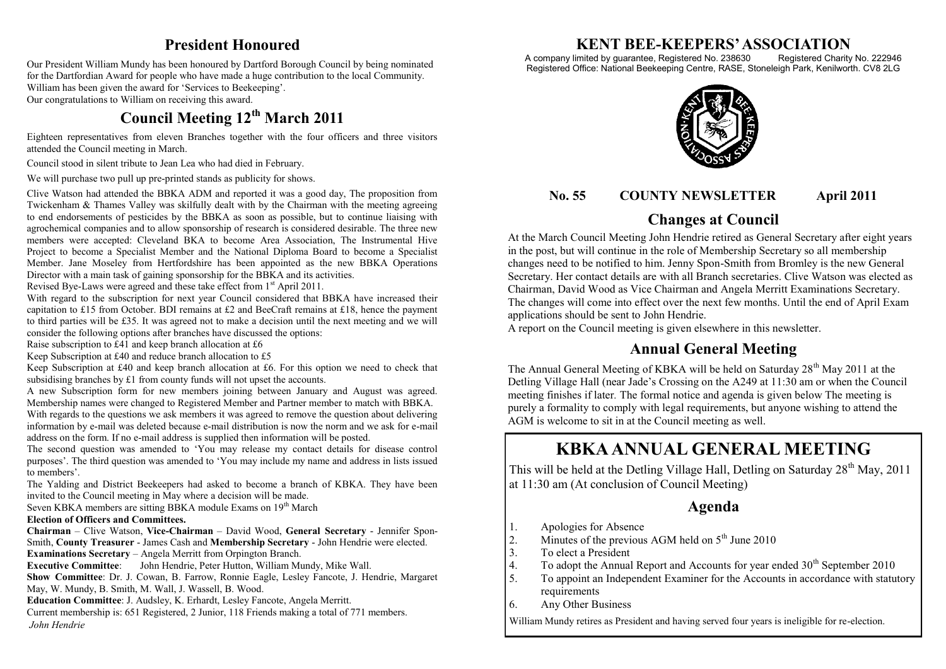## **President Honoured**

Our President William Mundy has been honoured by Dartford Borough Council by being nominated for the Dartfordian Award for people who have made a huge contribution to the local Community. William has been given the award for 'Services to Beekeeping'. Our congratulations to William on receiving this award.

## **Council Meeting 12th March 2011**

Eighteen representatives from eleven Branches together with the four officers and three visitors attended the Council meeting in March.

Council stood in silent tribute to Jean Lea who had died in February.

We will purchase two pull up pre-printed stands as publicity for shows.

Clive Watson had attended the BBKA ADM and reported it was a good day, The proposition from Twickenham  $\&$  Thames Valley was skilfully dealt with by the Chairman with the meeting agreeing to end endorsements of pesticides by the BBKA as soon as possible, but to continue liaising with agrochemical companies and to allow sponsorship of research is considered desirable. The three new members were accepted: Cleveland BKA to become Area Association, The Instrumental Hive Project to become a Specialist Member and the National Diploma Board to become a Specialist Member. Jane Moseley from Hertfordshire has been appointed as the new BBKA Operations Director with a main task of gaining sponsorship for the BBKA and its activities.

Revised Bye-Laws were agreed and these take effect from 1<sup>st</sup> April 2011.

With regard to the subscription for next year Council considered that BBKA have increased their capitation to £15 from October. BDI remains at £2 and BeeCraft remains at £18, hence the payment to third parties will be £35. It was agreed not to make a decision until the next meeting and we will consider the following options after branches have discussed the options:

Raise subscription to £41 and keep branch allocation at £6

Keep Subscription at £40 and reduce branch allocation to £5

Keep Subscription at £40 and keep branch allocation at £6. For this option we need to check that subsidising branches by £1 from county funds will not upset the accounts.

A new Subscription form for new members joining between January and August was agreed. Membership names were changed to Registered Member and Partner member to match with BBKA. With regards to the questions we ask members it was agreed to remove the question about delivering information by e-mail was deleted because e-mail distribution is now the norm and we ask for e-mail address on the form. If no e-mail address is supplied then information will be posted.

The second question was amended to 'You may release my contact details for disease control purposes'. The third question was amended to 'You may include my name and address in lists issued to members'.

The Yalding and District Beekeepers had asked to become a branch of KBKA. They have been invited to the Council meeting in May where a decision will be made.

Seven KBKA members are sitting BBKA module Exams on 19<sup>th</sup> March

#### **Election of Officers and Committees.**

**Chairman** – Clive Watson, **Vice-Chairman** – David Wood, **General Secretary** - Jennifer Spon-Smith, **County Treasurer** - James Cash and **Membership Secretary** - John Hendrie were elected. **Examinations Secretary** – Angela Merritt from Orpington Branch.

**Executive Committee**: John Hendrie, Peter Hutton, William Mundy, Mike Wall.

**Show Committee**: Dr. J. Cowan, B. Farrow, Ronnie Eagle, Lesley Fancote, J. Hendrie, Margaret May, W. Mundy, B. Smith, M. Wall, J. Wassell, B. Wood.

**Education Committee**: J. Audsley, K. Erhardt, Lesley Fancote, Angela Merritt.

Current membership is: 651 Registered, 2 Junior, 118 Friends making a total of 771 members. *John Hendrie*

# **KENT BEE-KEEPERS' ASSOCIATION**<br>imited by guarantee, Registered No. 238630 Registered Charity No. 222946

A company limited by guarantee, Registered No. 238630 Registered Office: National Beekeeping Centre, RASE, Stoneleigh Park, Kenilworth. CV8 2LG



## **No. 55 COUNTY NEWSLETTER April 2011**

## **Changes at Council**

At the March Council Meeting John Hendrie retired as General Secretary after eight years in the post, but will continue in the role of Membership Secretary so all membership changes need to be notified to him. Jenny Spon-Smith from Bromley is the new General Secretary. Her contact details are with all Branch secretaries. Clive Watson was elected as Chairman, David Wood as Vice Chairman and Angela Merritt Examinations Secretary. The changes will come into effect over the next few months. Until the end of April Exam applications should be sent to John Hendrie.

A report on the Council meeting is given elsewhere in this newsletter.

## **Annual General Meeting**

The Annual General Meeting of KBKA will be held on Saturday  $28<sup>th</sup>$  May 2011 at the Detling Village Hall (near Jade's Crossing on the A249 at 11:30 am or when the Council meeting finishes if later*.* The formal notice and agenda is given below The meeting is purely a formality to comply with legal requirements, but anyone wishing to attend the AGM is welcome to sit in at the Council meeting as well.

## **KBKA ANNUAL GENERAL MEETING**

This will be held at the Detling Village Hall, Detling on Saturday  $28<sup>th</sup>$  May, 2011 at 11:30 am (At conclusion of Council Meeting)

### **Agenda**

- 
- 1. Apologies for Absence<br>2. Minutes of the previous 2. Minutes of the previous AGM held on  $5<sup>th</sup>$  June 2010<br>3. To elect a President
- 3. To elect a President<br>4. To adopt the Annual
- 4. To adopt the Annual Report and Accounts for year ended  $30<sup>th</sup>$  September 2010<br>5 To appoint an Independent Examiner for the Accounts in accordance with statu
- To appoint an Independent Examiner for the Accounts in accordance with statutory requirements
- 6. Any Other Business

William Mundy retires as President and having served four years is ineligible for re-election.